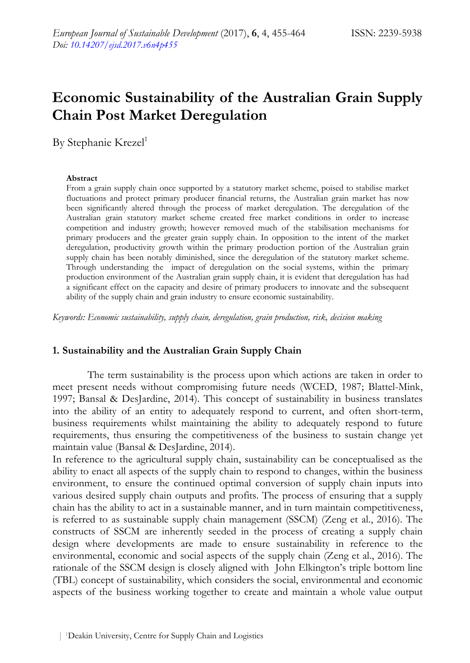# **Economic Sustainability of the Australian Grain Supply Chain Post Market Deregulation**

By Stephanie Krezel<sup>1</sup>

#### **Abstract**

From a grain supply chain once supported by a statutory market scheme, poised to stabilise market fluctuations and protect primary producer financial returns, the Australian grain market has now been significantly altered through the process of market deregulation. The deregulation of the Australian grain statutory market scheme created free market conditions in order to increase competition and industry growth; however removed much of the stabilisation mechanisms for primary producers and the greater grain supply chain. In opposition to the intent of the market deregulation, productivity growth within the primary production portion of the Australian grain supply chain has been notably diminished, since the deregulation of the statutory market scheme. Through understanding the impact of deregulation on the social systems, within the primary production environment of the Australian grain supply chain, it is evident that deregulation has had a significant effect on the capacity and desire of primary producers to innovate and the subsequent ability of the supply chain and grain industry to ensure economic sustainability.

*Keywords: Economic sustainability, supply chain, deregulation, grain production, risk, decision making* 

#### **1. Sustainability and the Australian Grain Supply Chain**

The term sustainability is the process upon which actions are taken in order to meet present needs without compromising future needs (WCED, 1987; Blattel-Mink, 1997; Bansal & DesJardine, 2014). This concept of sustainability in business translates into the ability of an entity to adequately respond to current, and often short-term, business requirements whilst maintaining the ability to adequately respond to future requirements, thus ensuring the competitiveness of the business to sustain change yet maintain value (Bansal & DesJardine, 2014).

In reference to the agricultural supply chain, sustainability can be conceptualised as the ability to enact all aspects of the supply chain to respond to changes, within the business environment, to ensure the continued optimal conversion of supply chain inputs into various desired supply chain outputs and profits. The process of ensuring that a supply chain has the ability to act in a sustainable manner, and in turn maintain competitiveness, is referred to as sustainable supply chain management (SSCM) (Zeng et al., 2016). The constructs of SSCM are inherently seeded in the process of creating a supply chain design where developments are made to ensure sustainability in reference to the environmental, economic and social aspects of the supply chain (Zeng et al., 2016). The rationale of the SSCM design is closely aligned with John Elkington's triple bottom line (TBL) concept of sustainability, which considers the social, environmental and economic aspects of the business working together to create and maintain a whole value output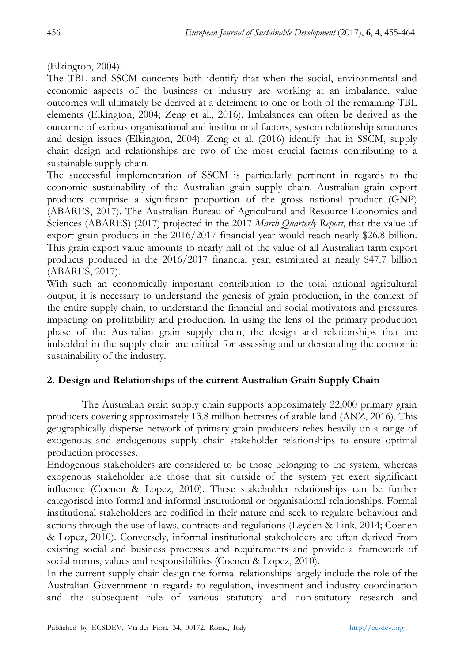(Elkington, 2004).

The TBL and SSCM concepts both identify that when the social, environmental and economic aspects of the business or industry are working at an imbalance, value outcomes will ultimately be derived at a detriment to one or both of the remaining TBL elements (Elkington, 2004; Zeng et al., 2016). Imbalances can often be derived as the outcome of various organisational and institutional factors, system relationship structures and design issues (Elkington, 2004). Zeng et al. (2016) identify that in SSCM, supply chain design and relationships are two of the most crucial factors contributing to a sustainable supply chain.

The successful implementation of SSCM is particularly pertinent in regards to the economic sustainability of the Australian grain supply chain. Australian grain export products comprise a significant proportion of the gross national product (GNP) (ABARES, 2017). The Australian Bureau of Agricultural and Resource Economics and Sciences (ABARES) (2017) projected in the 2017 *March Quarterly Report*, that the value of export grain products in the 2016/2017 financial year would reach nearly \$26.8 billion. This grain export value amounts to nearly half of the value of all Australian farm export products produced in the 2016/2017 financial year, estmitated at nearly \$47.7 billion (ABARES, 2017).

With such an economically important contribution to the total national agricultural output, it is necessary to understand the genesis of grain production, in the context of the entire supply chain, to understand the financial and social motivators and pressures impacting on profitability and production. In using the lens of the primary production phase of the Australian grain supply chain, the design and relationships that are imbedded in the supply chain are critical for assessing and understanding the economic sustainability of the industry.

## **2. Design and Relationships of the current Australian Grain Supply Chain**

The Australian grain supply chain supports approximately 22,000 primary grain producers covering approximately 13.8 million hectares of arable land (ANZ, 2016). This geographically disperse network of primary grain producers relies heavily on a range of exogenous and endogenous supply chain stakeholder relationships to ensure optimal production processes.

Endogenous stakeholders are considered to be those belonging to the system, whereas exogenous stakeholder are those that sit outside of the system yet exert significant influence (Coenen & Lopez, 2010). These stakeholder relationships can be further categorised into formal and informal institutional or organisational relationships. Formal institutional stakeholders are codified in their nature and seek to regulate behaviour and actions through the use of laws, contracts and regulations (Leyden & Link, 2014; Coenen & Lopez, 2010). Conversely, informal institutional stakeholders are often derived from existing social and business processes and requirements and provide a framework of social norms, values and responsibilities (Coenen & Lopez, 2010).

In the current supply chain design the formal relationships largely include the role of the Australian Government in regards to regulation, investment and industry coordination and the subsequent role of various statutory and non-statutory research and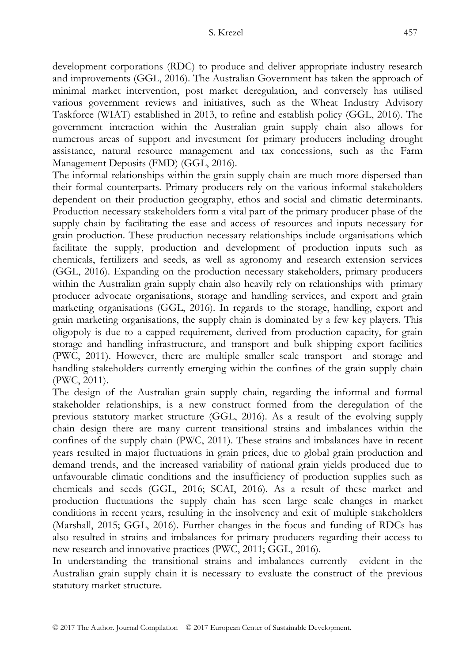development corporations (RDC) to produce and deliver appropriate industry research and improvements (GGL, 2016). The Australian Government has taken the approach of minimal market intervention, post market deregulation, and conversely has utilised various government reviews and initiatives, such as the Wheat Industry Advisory Taskforce (WIAT) established in 2013, to refine and establish policy (GGL, 2016). The government interaction within the Australian grain supply chain also allows for numerous areas of support and investment for primary producers including drought assistance, natural resource management and tax concessions, such as the Farm Management Deposits (FMD) (GGL, 2016).

The informal relationships within the grain supply chain are much more dispersed than their formal counterparts. Primary producers rely on the various informal stakeholders dependent on their production geography, ethos and social and climatic determinants. Production necessary stakeholders form a vital part of the primary producer phase of the supply chain by facilitating the ease and access of resources and inputs necessary for grain production. These production necessary relationships include organisations which facilitate the supply, production and development of production inputs such as chemicals, fertilizers and seeds, as well as agronomy and research extension services (GGL, 2016). Expanding on the production necessary stakeholders, primary producers within the Australian grain supply chain also heavily rely on relationships with primary producer advocate organisations, storage and handling services, and export and grain marketing organisations (GGL, 2016). In regards to the storage, handling, export and grain marketing organisations, the supply chain is dominated by a few key players. This oligopoly is due to a capped requirement, derived from production capacity, for grain storage and handling infrastructure, and transport and bulk shipping export facilities (PWC, 2011). However, there are multiple smaller scale transport and storage and handling stakeholders currently emerging within the confines of the grain supply chain (PWC, 2011).

The design of the Australian grain supply chain, regarding the informal and formal stakeholder relationships, is a new construct formed from the deregulation of the previous statutory market structure (GGL, 2016). As a result of the evolving supply chain design there are many current transitional strains and imbalances within the confines of the supply chain (PWC, 2011). These strains and imbalances have in recent years resulted in major fluctuations in grain prices, due to global grain production and demand trends, and the increased variability of national grain yields produced due to unfavourable climatic conditions and the insufficiency of production supplies such as chemicals and seeds (GGL, 2016; SCAI, 2016). As a result of these market and production fluctuations the supply chain has seen large scale changes in market conditions in recent years, resulting in the insolvency and exit of multiple stakeholders (Marshall, 2015; GGL, 2016). Further changes in the focus and funding of RDCs has also resulted in strains and imbalances for primary producers regarding their access to new research and innovative practices (PWC, 2011; GGL, 2016).

In understanding the transitional strains and imbalances currently evident in the Australian grain supply chain it is necessary to evaluate the construct of the previous statutory market structure.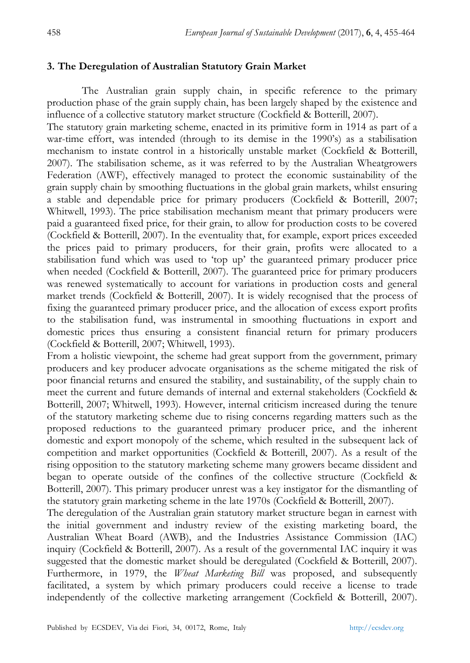## **3. The Deregulation of Australian Statutory Grain Market**

The Australian grain supply chain, in specific reference to the primary production phase of the grain supply chain, has been largely shaped by the existence and influence of a collective statutory market structure (Cockfield & Botterill, 2007).

The statutory grain marketing scheme, enacted in its primitive form in 1914 as part of a war-time effort, was intended (through to its demise in the 1990's) as a stabilisation mechanism to instate control in a historically unstable market (Cockfield & Botterill, 2007). The stabilisation scheme, as it was referred to by the Australian Wheatgrowers Federation (AWF), effectively managed to protect the economic sustainability of the grain supply chain by smoothing fluctuations in the global grain markets, whilst ensuring a stable and dependable price for primary producers (Cockfield & Botterill, 2007; Whitwell, 1993). The price stabilisation mechanism meant that primary producers were paid a guaranteed fixed price, for their grain, to allow for production costs to be covered (Cockfield & Botterill, 2007). In the eventuality that, for example, export prices exceeded the prices paid to primary producers, for their grain, profits were allocated to a stabilisation fund which was used to 'top up' the guaranteed primary producer price when needed (Cockfield & Botterill, 2007). The guaranteed price for primary producers was renewed systematically to account for variations in production costs and general market trends (Cockfield & Botterill, 2007). It is widely recognised that the process of fixing the guaranteed primary producer price, and the allocation of excess export profits to the stabilisation fund, was instrumental in smoothing fluctuations in export and domestic prices thus ensuring a consistent financial return for primary producers (Cockfield & Botterill, 2007; Whitwell, 1993).

From a holistic viewpoint, the scheme had great support from the government, primary producers and key producer advocate organisations as the scheme mitigated the risk of poor financial returns and ensured the stability, and sustainability, of the supply chain to meet the current and future demands of internal and external stakeholders (Cockfield & Botterill, 2007; Whitwell, 1993). However, internal criticism increased during the tenure of the statutory marketing scheme due to rising concerns regarding matters such as the proposed reductions to the guaranteed primary producer price, and the inherent domestic and export monopoly of the scheme, which resulted in the subsequent lack of competition and market opportunities (Cockfield & Botterill, 2007). As a result of the rising opposition to the statutory marketing scheme many growers became dissident and began to operate outside of the confines of the collective structure (Cockfield & Botterill, 2007). This primary producer unrest was a key instigator for the dismantling of the statutory grain marketing scheme in the late 1970s (Cockfield & Botterill, 2007).

The deregulation of the Australian grain statutory market structure began in earnest with the initial government and industry review of the existing marketing board, the Australian Wheat Board (AWB), and the Industries Assistance Commission (IAC) inquiry (Cockfield & Botterill, 2007). As a result of the governmental IAC inquiry it was suggested that the domestic market should be deregulated (Cockfield & Botterill, 2007). Furthermore, in 1979, the *Wheat Marketing Bill* was proposed, and subsequently facilitated, a system by which primary producers could receive a license to trade independently of the collective marketing arrangement (Cockfield & Botterill, 2007).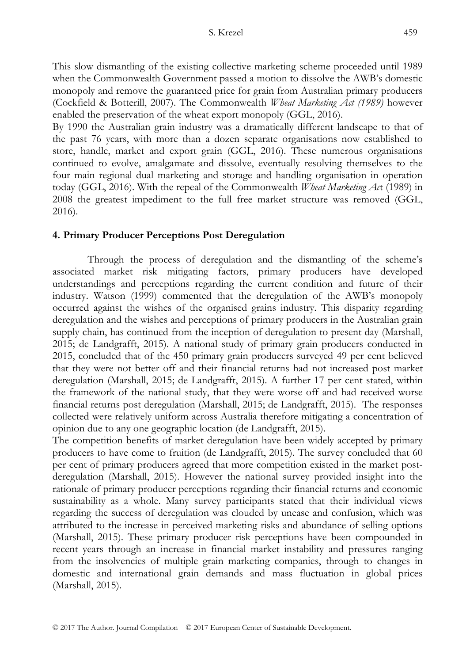This slow dismantling of the existing collective marketing scheme proceeded until 1989 when the Commonwealth Government passed a motion to dissolve the AWB's domestic monopoly and remove the guaranteed price for grain from Australian primary producers (Cockfield & Botterill, 2007). The Commonwealth *Wheat Marketing Act (1989)* however enabled the preservation of the wheat export monopoly (GGL, 2016).

By 1990 the Australian grain industry was a dramatically different landscape to that of the past 76 years, with more than a dozen separate organisations now established to store, handle, market and export grain (GGL, 2016). These numerous organisations continued to evolve, amalgamate and dissolve, eventually resolving themselves to the four main regional dual marketing and storage and handling organisation in operation today (GGL, 2016). With the repeal of the Commonwealth *Wheat Marketing Ac*t (1989) in 2008 the greatest impediment to the full free market structure was removed (GGL, 2016).

## **4. Primary Producer Perceptions Post Deregulation**

Through the process of deregulation and the dismantling of the scheme's associated market risk mitigating factors, primary producers have developed understandings and perceptions regarding the current condition and future of their industry. Watson (1999) commented that the deregulation of the AWB's monopoly occurred against the wishes of the organised grains industry. This disparity regarding deregulation and the wishes and perceptions of primary producers in the Australian grain supply chain, has continued from the inception of deregulation to present day (Marshall, 2015; de Landgrafft, 2015). A national study of primary grain producers conducted in 2015, concluded that of the 450 primary grain producers surveyed 49 per cent believed that they were not better off and their financial returns had not increased post market deregulation (Marshall, 2015; de Landgrafft, 2015). A further 17 per cent stated, within the framework of the national study, that they were worse off and had received worse financial returns post deregulation (Marshall, 2015; de Landgrafft, 2015). The responses collected were relatively uniform across Australia therefore mitigating a concentration of opinion due to any one geographic location (de Landgrafft, 2015).

The competition benefits of market deregulation have been widely accepted by primary producers to have come to fruition (de Landgrafft, 2015). The survey concluded that 60 per cent of primary producers agreed that more competition existed in the market postderegulation (Marshall, 2015). However the national survey provided insight into the rationale of primary producer perceptions regarding their financial returns and economic sustainability as a whole. Many survey participants stated that their individual views regarding the success of deregulation was clouded by unease and confusion, which was attributed to the increase in perceived marketing risks and abundance of selling options (Marshall, 2015). These primary producer risk perceptions have been compounded in recent years through an increase in financial market instability and pressures ranging from the insolvencies of multiple grain marketing companies, through to changes in domestic and international grain demands and mass fluctuation in global prices (Marshall, 2015).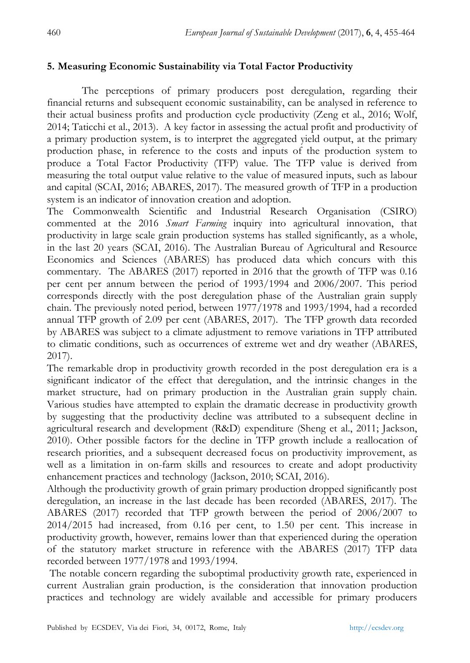## **5. Measuring Economic Sustainability via Total Factor Productivity**

The perceptions of primary producers post deregulation, regarding their financial returns and subsequent economic sustainability, can be analysed in reference to their actual business profits and production cycle productivity (Zeng et al., 2016; Wolf, 2014; Taticchi et al., 2013). A key factor in assessing the actual profit and productivity of a primary production system, is to interpret the aggregated yield output, at the primary production phase, in reference to the costs and inputs of the production system to produce a Total Factor Productivity (TFP) value. The TFP value is derived from measuring the total output value relative to the value of measured inputs, such as labour and capital (SCAI, 2016; ABARES, 2017). The measured growth of TFP in a production system is an indicator of innovation creation and adoption.

The Commonwealth Scientific and Industrial Research Organisation (CSIRO) commented at the 2016 *Smart Farming* inquiry into agricultural innovation, that productivity in large scale grain production systems has stalled significantly, as a whole, in the last 20 years (SCAI, 2016). The Australian Bureau of Agricultural and Resource Economics and Sciences (ABARES) has produced data which concurs with this commentary. The ABARES (2017) reported in 2016 that the growth of TFP was 0.16 per cent per annum between the period of 1993/1994 and 2006/2007. This period corresponds directly with the post deregulation phase of the Australian grain supply chain. The previously noted period, between 1977/1978 and 1993/1994, had a recorded annual TFP growth of 2.09 per cent (ABARES, 2017). The TFP growth data recorded by ABARES was subject to a climate adjustment to remove variations in TFP attributed to climatic conditions, such as occurrences of extreme wet and dry weather (ABARES, 2017).

The remarkable drop in productivity growth recorded in the post deregulation era is a significant indicator of the effect that deregulation, and the intrinsic changes in the market structure, had on primary production in the Australian grain supply chain. Various studies have attempted to explain the dramatic decrease in productivity growth by suggesting that the productivity decline was attributed to a subsequent decline in agricultural research and development (R&D) expenditure (Sheng et al., 2011; Jackson, 2010). Other possible factors for the decline in TFP growth include a reallocation of research priorities, and a subsequent decreased focus on productivity improvement, as well as a limitation in on-farm skills and resources to create and adopt productivity enhancement practices and technology (Jackson, 2010; SCAI, 2016).

Although the productivity growth of grain primary production dropped significantly post deregulation, an increase in the last decade has been recorded (ABARES, 2017). The ABARES (2017) recorded that TFP growth between the period of 2006/2007 to 2014/2015 had increased, from 0.16 per cent, to 1.50 per cent. This increase in productivity growth, however, remains lower than that experienced during the operation of the statutory market structure in reference with the ABARES (2017) TFP data recorded between 1977/1978 and 1993/1994.

 The notable concern regarding the suboptimal productivity growth rate, experienced in current Australian grain production, is the consideration that innovation production practices and technology are widely available and accessible for primary producers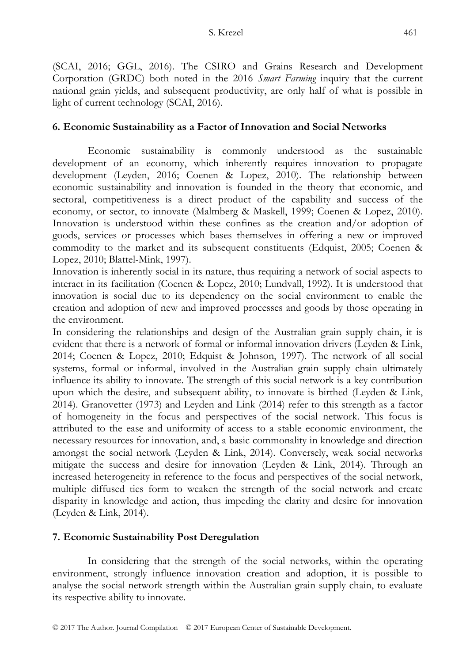(SCAI, 2016; GGL, 2016). The CSIRO and Grains Research and Development Corporation (GRDC) both noted in the 2016 *Smart Farming* inquiry that the current national grain yields, and subsequent productivity, are only half of what is possible in light of current technology (SCAI, 2016).

#### **6. Economic Sustainability as a Factor of Innovation and Social Networks**

Economic sustainability is commonly understood as the sustainable development of an economy, which inherently requires innovation to propagate development (Leyden, 2016; Coenen & Lopez, 2010). The relationship between economic sustainability and innovation is founded in the theory that economic, and sectoral, competitiveness is a direct product of the capability and success of the economy, or sector, to innovate (Malmberg & Maskell, 1999; Coenen & Lopez, 2010). Innovation is understood within these confines as the creation and/or adoption of goods, services or processes which bases themselves in offering a new or improved commodity to the market and its subsequent constituents (Edquist, 2005; Coenen & Lopez, 2010; Blattel-Mink, 1997).

Innovation is inherently social in its nature, thus requiring a network of social aspects to interact in its facilitation (Coenen & Lopez, 2010; Lundvall, 1992). It is understood that innovation is social due to its dependency on the social environment to enable the creation and adoption of new and improved processes and goods by those operating in the environment.

In considering the relationships and design of the Australian grain supply chain, it is evident that there is a network of formal or informal innovation drivers (Leyden & Link, 2014; Coenen & Lopez, 2010; Edquist & Johnson, 1997). The network of all social systems, formal or informal, involved in the Australian grain supply chain ultimately influence its ability to innovate. The strength of this social network is a key contribution upon which the desire, and subsequent ability, to innovate is birthed (Leyden & Link, 2014). Granovetter (1973) and Leyden and Link (2014) refer to this strength as a factor of homogeneity in the focus and perspectives of the social network. This focus is attributed to the ease and uniformity of access to a stable economic environment, the necessary resources for innovation, and, a basic commonality in knowledge and direction amongst the social network (Leyden & Link, 2014). Conversely, weak social networks mitigate the success and desire for innovation (Leyden & Link, 2014). Through an increased heterogeneity in reference to the focus and perspectives of the social network, multiple diffused ties form to weaken the strength of the social network and create disparity in knowledge and action, thus impeding the clarity and desire for innovation (Leyden & Link, 2014).

## **7. Economic Sustainability Post Deregulation**

In considering that the strength of the social networks, within the operating environment, strongly influence innovation creation and adoption, it is possible to analyse the social network strength within the Australian grain supply chain, to evaluate its respective ability to innovate.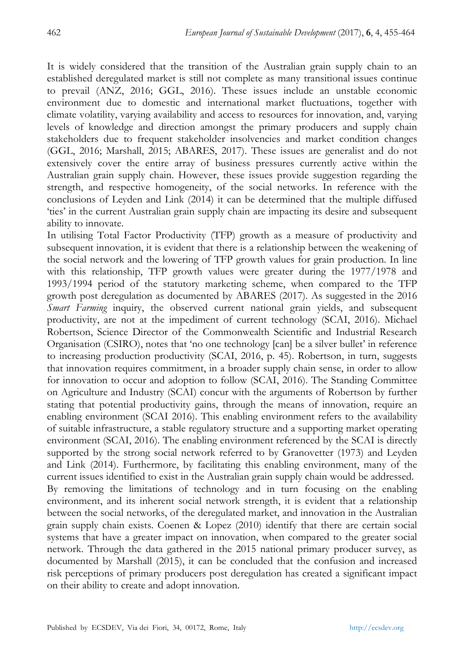It is widely considered that the transition of the Australian grain supply chain to an established deregulated market is still not complete as many transitional issues continue to prevail (ANZ, 2016; GGL, 2016). These issues include an unstable economic environment due to domestic and international market fluctuations, together with climate volatility, varying availability and access to resources for innovation, and, varying levels of knowledge and direction amongst the primary producers and supply chain stakeholders due to frequent stakeholder insolvencies and market condition changes (GGL, 2016; Marshall, 2015; ABARES, 2017). These issues are generalist and do not extensively cover the entire array of business pressures currently active within the Australian grain supply chain. However, these issues provide suggestion regarding the strength, and respective homogeneity, of the social networks. In reference with the conclusions of Leyden and Link (2014) it can be determined that the multiple diffused 'ties' in the current Australian grain supply chain are impacting its desire and subsequent ability to innovate.

In utilising Total Factor Productivity (TFP) growth as a measure of productivity and subsequent innovation, it is evident that there is a relationship between the weakening of the social network and the lowering of TFP growth values for grain production. In line with this relationship, TFP growth values were greater during the 1977/1978 and 1993/1994 period of the statutory marketing scheme, when compared to the TFP growth post deregulation as documented by ABARES (2017). As suggested in the 2016 *Smart Farming* inquiry, the observed current national grain yields, and subsequent productivity, are not at the impediment of current technology (SCAI, 2016). Michael Robertson, Science Director of the Commonwealth Scientific and Industrial Research Organisation (CSIRO), notes that 'no one technology [can] be a silver bullet' in reference to increasing production productivity (SCAI, 2016, p. 45). Robertson, in turn, suggests that innovation requires commitment, in a broader supply chain sense, in order to allow for innovation to occur and adoption to follow (SCAI, 2016). The Standing Committee on Agriculture and Industry (SCAI) concur with the arguments of Robertson by further stating that potential productivity gains, through the means of innovation, require an enabling environment (SCAI 2016). This enabling environment refers to the availability of suitable infrastructure, a stable regulatory structure and a supporting market operating environment (SCAI, 2016). The enabling environment referenced by the SCAI is directly supported by the strong social network referred to by Granovetter (1973) and Leyden and Link (2014). Furthermore, by facilitating this enabling environment, many of the current issues identified to exist in the Australian grain supply chain would be addressed. By removing the limitations of technology and in turn focusing on the enabling environment, and its inherent social network strength, it is evident that a relationship between the social networks, of the deregulated market, and innovation in the Australian grain supply chain exists. Coenen & Lopez (2010) identify that there are certain social systems that have a greater impact on innovation, when compared to the greater social network. Through the data gathered in the 2015 national primary producer survey, as documented by Marshall (2015), it can be concluded that the confusion and increased risk perceptions of primary producers post deregulation has created a significant impact on their ability to create and adopt innovation.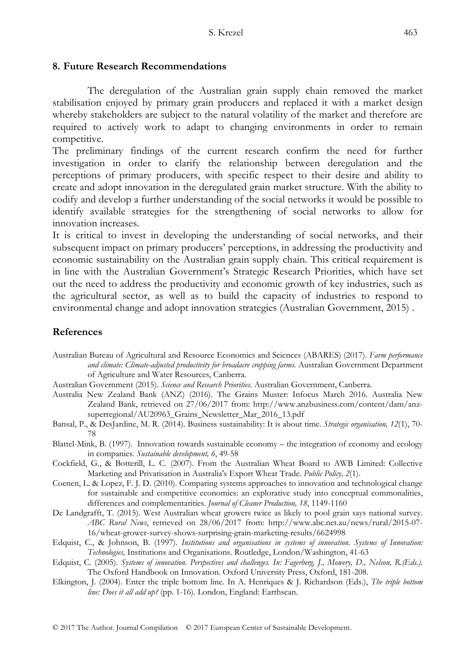#### **8. Future Research Recommendations**

The deregulation of the Australian grain supply chain removed the market stabilisation enjoyed by primary grain producers and replaced it with a market design whereby stakeholders are subject to the natural volatility of the market and therefore are required to actively work to adapt to changing environments in order to remain competitive.

The preliminary findings of the current research confirm the need for further investigation in order to clarify the relationship between deregulation and the perceptions of primary producers, with specific respect to their desire and ability to create and adopt innovation in the deregulated grain market structure. With the ability to codify and develop a further understanding of the social networks it would be possible to identify available strategies for the strengthening of social networks to allow for innovation increases.

It is critical to invest in developing the understanding of social networks, and their subsequent impact on primary producers' perceptions, in addressing the productivity and economic sustainability on the Australian grain supply chain. This critical requirement is in line with the Australian Government's Strategic Research Priorities, which have set out the need to address the productivity and economic growth of key industries, such as the agricultural sector, as well as to build the capacity of industries to respond to environmental change and adopt innovation strategies (Australian Government, 2015) .

#### **References**

- Australian Bureau of Agricultural and Resource Economics and Sciences (ABARES) (2017). *Farm performance and climate: Climate-adjusted productivity for broadacre cropping farms.* Australian Government Department of Agriculture and Water Resources, Canberra.
- Australian Government (2015). *Science and Research Priorities*. Australian Government, Canberra.
- Australia New Zealand Bank (ANZ) (2016). The Grains Muster: Infocus March 2016. Australia New Zealand Bank, retrieved on 27/06/2017 from: http://www.anzbusiness.com/content/dam/anzsuperregional/AU20963\_Grains\_Newsletter\_Mar\_2016\_13.pdf
- Bansal, P., & DesJardine, M. R. (2014). Business sustainability: It is about time. *Strategic organisation, 12*(1), 70- 78
- Blattel-Mink, B. (1997). Innovation towards sustainable economy the integration of economy and ecology in companies. *Sustainable development, 6*, 49-58
- Cockfield, G., & Botterill, L. C. (2007). From the Australian Wheat Board to AWB Limited: Collective Marketing and Privatisation in Australia's Export Wheat Trade. *Public Policy, 2*(1).
- Coenen, L. & Lopez, F. J. D. (2010). Comparing systems approaches to innovation and technological change for sustainable and competitive economies: an explorative study into conceptual commonalities, differences and complementarities. *Journal of Cleaner Production, 18*, 1149-1160
- De Landgrafft, T. (2015). West Australian wheat growers twice as likely to pool grain says national survey. *ABC Rural News*, retrieved on 28/06/2017 from: http://www.abc.net.au/news/rural/2015-07- 16/wheat-grower-survey-shows-surprising-grain-marketing-results/6624998
- Edquist, C., & Johnson, B. (1997). *Institutions and organisations in systems of innovation. Systems of Innovation: Technologies,* Institutions and Organisations. Routledge, London/Washington, 41-63
- Edquist, C. (2005). *Systems of innovation. Perspectives and challenges. In: Fagerberg, J., Mowery, D., Nelson, R.(Eds.).* The Oxford Handbook on Innovation. Oxford University Press, Oxford, 181-208.
- Elkington, J. (2004). Enter the triple bottom line. In A. Henriques & J. Richardson (Eds.), *The triple bottom line: Does it all add up?* (pp. 1-16). London, England: Earthscan.